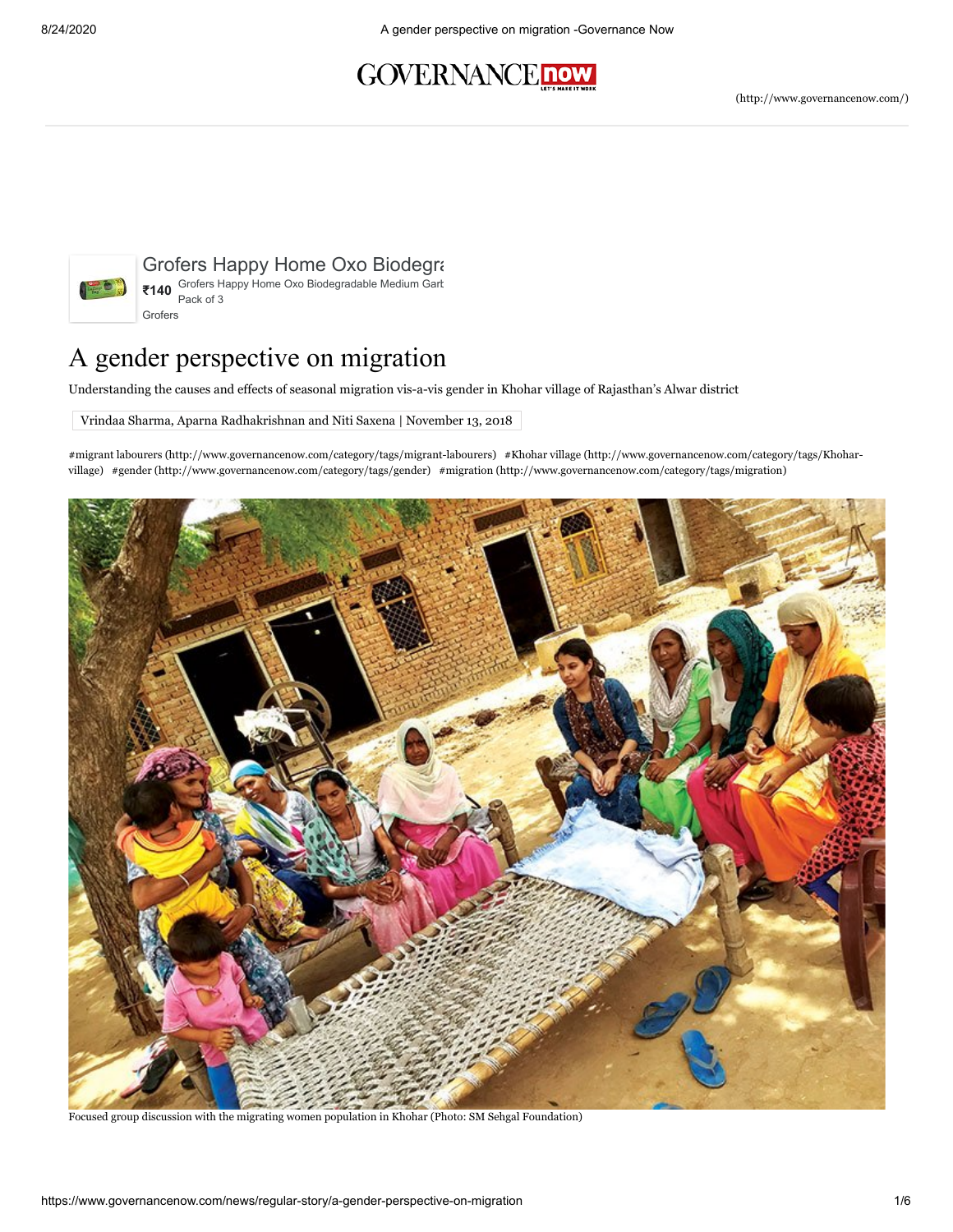## **GOVERNANCE now**



[Grofers Happy Home Oxo Biodegradable...](https://www.googleadservices.com/pagead/aclk?sa=L&ai=CX85yBVpDX5TgCNunrtoPoNe5iAjoq7LgXsDj8_7nCundyICKCxABIPD9wxdg5bLlg6wOoAHe1JK_A8gBBqkCIBkSkYWwTD6oAwGqBPcBT9AEFo_mo2HlgU83fLwEaIqa0xAGsbSZsxwsbdw3_DiAU0uZc8f5wb83--eiq58CoPcKgRN5BrTGBc-ej1Jm74knlpNGIePJRetxyKm_2lBFbCp2x985zZZzaB78DXhAkAOAfZk4xzq_PCQHCStwnwIQ_GiVzqcC5q0DGf_VxeDrhE7uaNJHKISmLE59odrYHUlNLJFmIR3ZITe02vduk1DHbI_pXcoMHmgafzpCYZkfjDQWJlVSZeoOzI9aJ4wQReaDKtCoM9xVnVB_PmeIUTVLY-445gmN_Fi4r6bV0rJOSQ-nlD1gzQowhiRM9b_G6D5Cnqcxd8AE4oW6s6ACwAUF-gUGCCUQARgAoAY3gAfozYhhqAeOzhuoB5PYG6gHugaoB_DZG6gH8tkbqAemvhuoB-zVG6gH89EbqAfs1RuoB5bYG6gHwtob2AcBwAgB0ggHCIBhEAEYHoAKAYoKvQFodHRwczovL2dyZnJzLmFwcC5saW5rL0V6ZWx2ajNTMjA_JTI0M3A9YV9nb29nbGVfYWR3b3JkcyYlMjRhbHdheXNfZGVlcGxpbms9ZmFsc2UmZ2NsaWQ9e2djbGlkfSZscHVybD17bHB1cmx9Jn5hZF9zZXRfaWQ9Nzc0MTczMTcwOTAmfmNhbXBhaWduX2lkPTc5MjYzNDA5NjImfmNoYW5uZWw9dSZ-a2V5d29yZD0mfnBsYWNlbWVudD2QCwOYCwHICwHgCwHgEo3Nh4OZlqXI_wHYEw6YFgE&ae=1&num=1&cid=CAASEuRowJBpTPITlH1h4nIoRw42Kw&sig=AOD64_0eoLroJAwMsC1cIIvGiPUgWcUz3A&adurl=https://grofers.com/prn/grofers-happy-home-oxo-biodegradable-medium-garbage-bag-(19x21%2522)---pack-of-3/prid/407722%3F_city%3Dhr-ncr%26gclsrc%3Daw.ds%26%26gclid%3DEAIaIQobChMI1Pbjopez6wIV25NLBR2gaw6BEAEYASABEgJtt_D_BwE&ctype=5&client=ca-pub-9259629182066100) **₹140** Grofers Happy Home Oxo Biodegradable Medium Garbage Bag (19x21") - Pack of 3 [Grofers](https://www.googleadservices.com/pagead/aclk?sa=L&ai=CX85yBVpDX5TgCNunrtoPoNe5iAjoq7LgXsDj8_7nCundyICKCxABIPD9wxdg5bLlg6wOoAHe1JK_A8gBBqkCIBkSkYWwTD6oAwGqBPcBT9AEFo_mo2HlgU83fLwEaIqa0xAGsbSZsxwsbdw3_DiAU0uZc8f5wb83--eiq58CoPcKgRN5BrTGBc-ej1Jm74knlpNGIePJRetxyKm_2lBFbCp2x985zZZzaB78DXhAkAOAfZk4xzq_PCQHCStwnwIQ_GiVzqcC5q0DGf_VxeDrhE7uaNJHKISmLE59odrYHUlNLJFmIR3ZITe02vduk1DHbI_pXcoMHmgafzpCYZkfjDQWJlVSZeoOzI9aJ4wQReaDKtCoM9xVnVB_PmeIUTVLY-445gmN_Fi4r6bV0rJOSQ-nlD1gzQowhiRM9b_G6D5Cnqcxd8AE4oW6s6ACwAUF-gUGCCUQARgAoAY3gAfozYhhqAeOzhuoB5PYG6gHugaoB_DZG6gH8tkbqAemvhuoB-zVG6gH89EbqAfs1RuoB5bYG6gHwtob2AcBwAgB0ggHCIBhEAEYHoAKAYoKvQFodHRwczovL2dyZnJzLmFwcC5saW5rL0V6ZWx2ajNTMjA_JTI0M3A9YV9nb29nbGVfYWR3b3JkcyYlMjRhbHdheXNfZGVlcGxpbms9ZmFsc2UmZ2NsaWQ9e2djbGlkfSZscHVybD17bHB1cmx9Jn5hZF9zZXRfaWQ9Nzc0MTczMTcwOTAmfmNhbXBhaWduX2lkPTc5MjYzNDA5NjImfmNoYW5uZWw9dSZ-a2V5d29yZD0mfnBsYWNlbWVudD2QCwOYCwHICwHgCwHgEo3Nh4OZlqXI_wHYEw6YFgE&ae=1&num=1&cid=CAASEuRowJBpTPITlH1h4nIoRw42Kw&sig=AOD64_0eoLroJAwMsC1cIIvGiPUgWcUz3A&adurl=https://grofers.com/prn/grofers-happy-home-oxo-biodegradable-medium-garbage-bag-(19x21%2522)---pack-of-3/prid/407722%3F_city%3Dhr-ncr%26gclsrc%3Daw.ds%26%26gclid%3DEAIaIQobChMI1Pbjopez6wIV25NLBR2gaw6BEAEYASABEgJtt_D_BwE&ctype=5&client=ca-pub-9259629182066100)

## A gender perspective on migration

Understanding the causes and effects of seasonal migration vis-a-vis gender in Khohar village of Rajasthan's Alwar district

Vrindaa Sharma, Aparna Radhakrishnan and Niti Saxena | November 13, 2018

[#migrant labourers \(http://www.governancenow.com/category/tags/migrant-labourers\) #Khohar village \(http://www.governancenow.com/category/tags/Khohar](http://www.governancenow.com/category/tags/Khohar-village)village) [#gender \(http://www.governancenow.com/category/tags/gender\)](http://www.governancenow.com/category/tags/gender) [#migration \(http://www.governancenow.com/category/tags/migration\)](http://www.governancenow.com/category/tags/migration) 



Focused group discussion with the migrating women population in Khohar (Photo: SM Sehgal Foundation)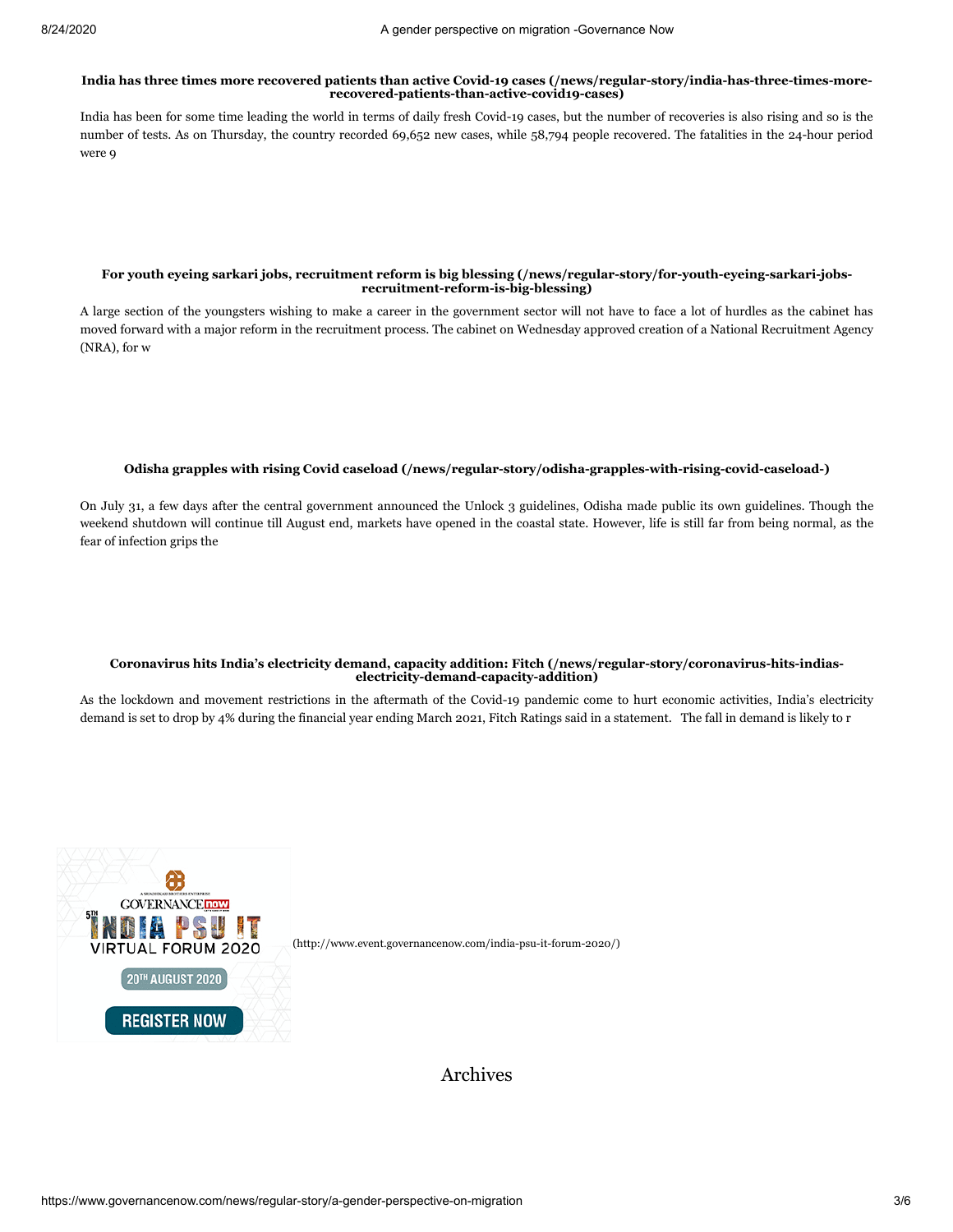#### **[India has three times more recovered patients than active Covid-19 cases \(/news/regular-story/india-has-three-times-more](https://www.governancenow.com/news/regular-story/india-has-three-times-more-recovered-patients-than-active-covid19-cases)recovered-patients-than-active-covid19-cases)**

India has been for some time leading the world in terms of daily fresh Covid-19 cases, but the number of recoveries is also rising and so is the number of tests. As on Thursday, the country recorded 69,652 new cases, while 58,794 people recovered. The fatalities in the 24-hour period were 9

#### **[For youth eyeing sarkari jobs, recruitment reform is big blessing \(/news/regular-story/for-youth-eyeing-sarkari-jobs](https://www.governancenow.com/news/regular-story/for-youth-eyeing-sarkari-jobs-recruitment-reform-is-big-blessing)recruitment-reform-is-big-blessing)**

A large section of the youngsters wishing to make a career in the government sector will not have to face a lot of hurdles as the cabinet has moved forward with a major reform in the recruitment process. The cabinet on Wednesday approved creation of a National Recruitment Agency (NRA), for w

#### **[Odisha grapples with rising Covid caseload \(/news/regular-story/odisha-grapples-with-rising-covid-caseload-\)](https://www.governancenow.com/news/regular-story/odisha-grapples-with-rising-covid-caseload-)**

On July 31, a few days after the central government announced the Unlock 3 guidelines, Odisha made public its own guidelines. Though the weekend shutdown will continue till August end, markets have opened in the coastal state. However, life is still far from being normal, as the fear of infection grips the

#### **[Coronavirus hits India's electricity demand, capacity addition: Fitch \(/news/regular-story/coronavirus-hits-indias](https://www.governancenow.com/news/regular-story/coronavirus-hits-indias-electricity-demand-capacity-addition)electricity-demand-capacity-addition)**

As the lockdown and movement restrictions in the aftermath of the Covid-19 pandemic come to hurt economic activities, India's electricity demand is set to drop by 4% during the financial year ending March 2021, Fitch Ratings said in a statement. The fall in demand is likely to r



Archives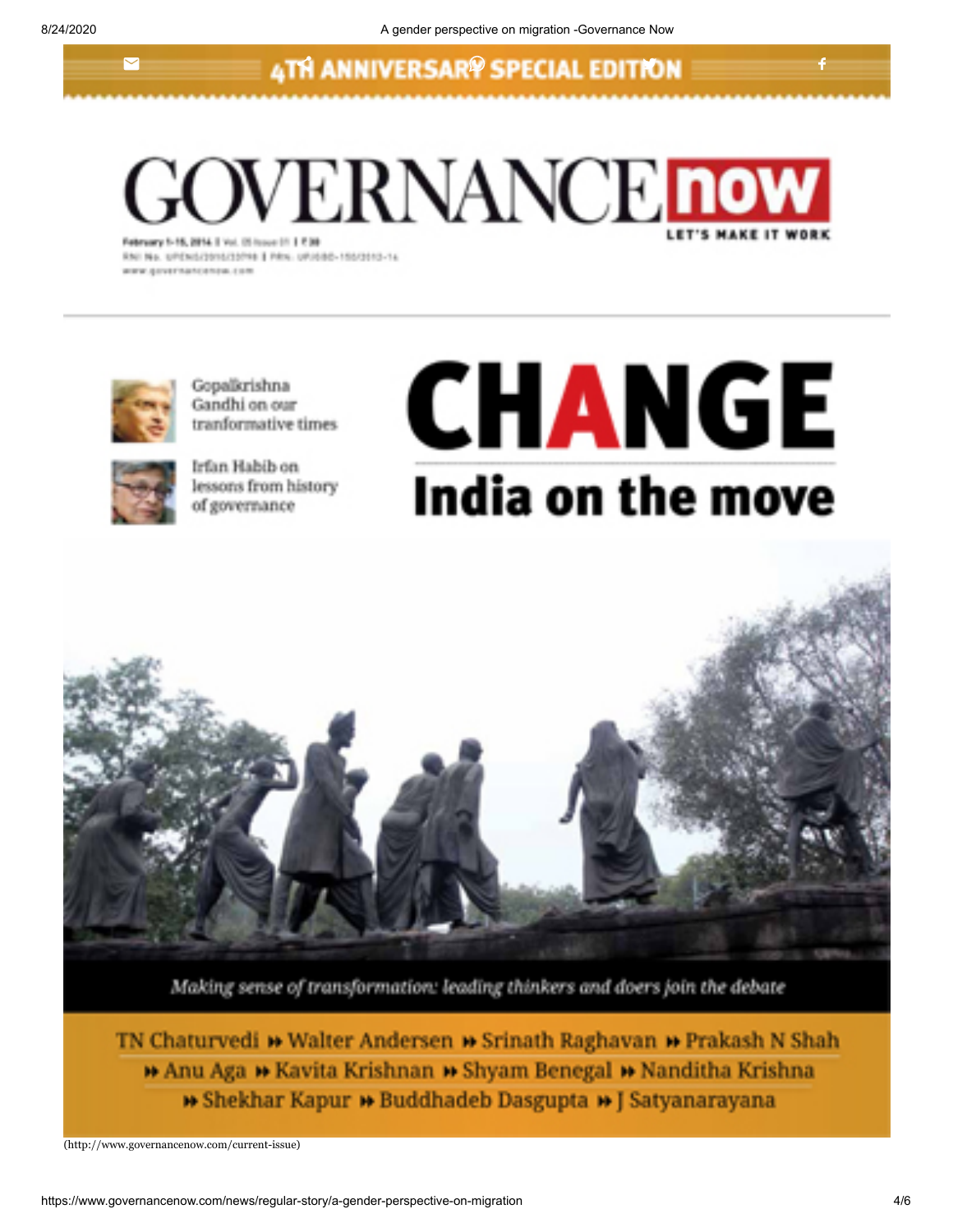$\blacksquare$ 

## **4TH ANNIVERSARY SPECIAL EDITION**

**GOVERNANCE now** 

RNI No. UPENSZONSZONNE | PRK. UPJOBO-105/2010-14 winter discussions and end on them



Gopalkrishna Gandhi on our tranformative times



Irfan Habib on lessons from history of governance

# **CHANGE** India on the move



Making sense of transformation: leading thinkers and doers join the debate

TN Chaturvedi » Walter Andersen » Srinath Raghavan » Prakash N Shah **11 Anu Aga 11 Kavita Krishnan 11 Shyam Benegal 11 Nanditha Krishna » Shekhar Kapur » Buddhadeb Dasgupta » J Satyanarayana** 

[\(http://www.governancenow.com/current-issue\)](http://www.governancenow.com/current-issue)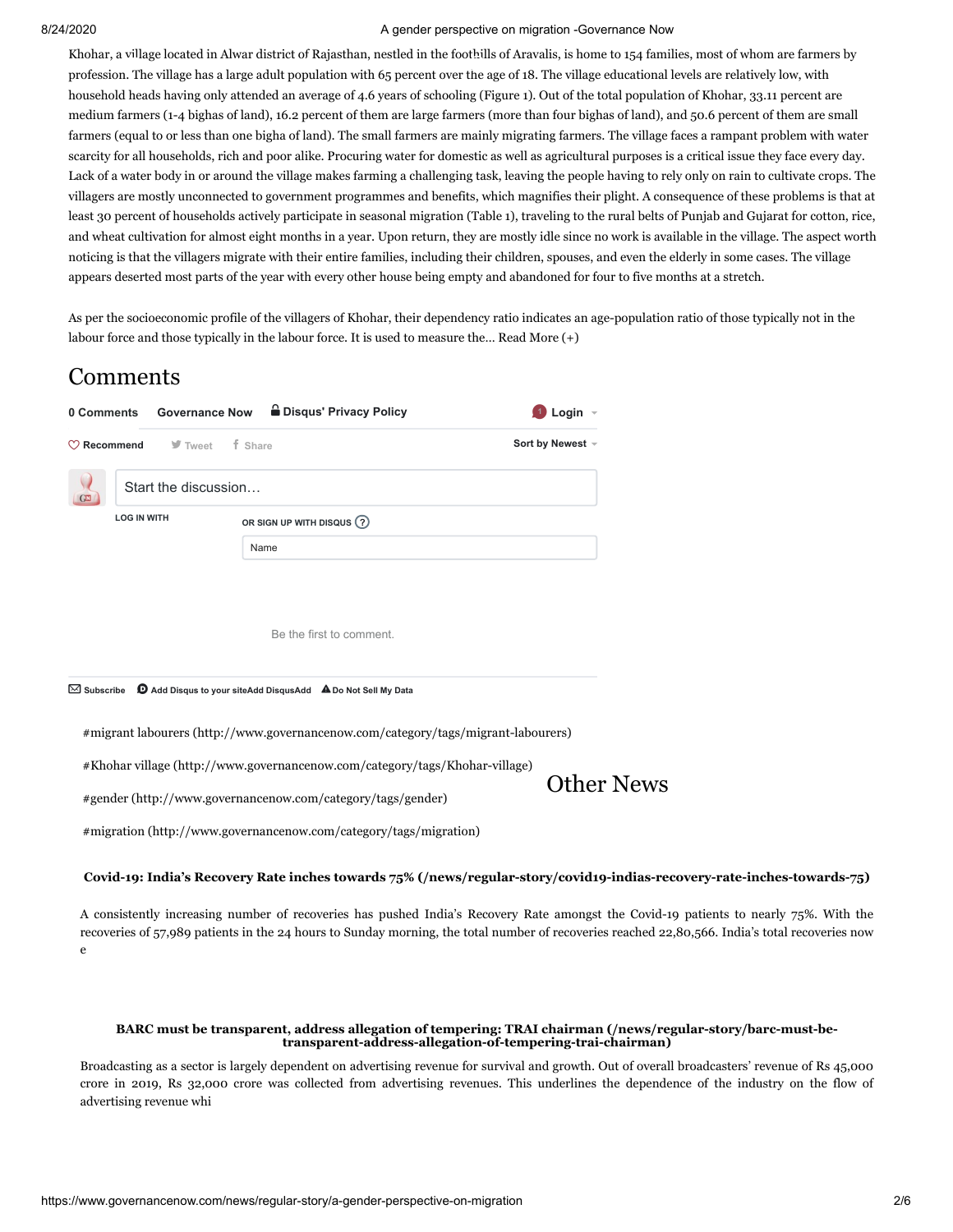#### 8/24/2020 A gender perspective on migration -Governance Now

Khohar, a village located in Alwar district of Rajasthan, nestled in the foothills of Aravalis, is home to 154 families, most of whom are farmers by profession. The village has a large adult population with 65 percent over the age of 18. The village educational levels are relatively low, with household heads having only attended an average of 4.6 years of schooling (Figure 1). Out of the total population of Khohar, 33.11 percent are medium farmers (1-4 bighas of land), 16.2 percent of them are large farmers (more than four bighas of land), and 50.6 percent of them are small farmers (equal to or less than one bigha of land). The small farmers are mainly migrating farmers. The village faces a rampant problem with water scarcity for all households, rich and poor alike. Procuring water for domestic as well as agricultural purposes is a critical issue they face every day. Lack of a water body in or around the village makes farming a challenging task, leaving the people having to rely only on rain to cultivate crops. The villagers are mostly unconnected to government programmes and benefits, which magnifies their plight. A consequence of these problems is that at least 30 percent of households actively participate in seasonal migration (Table 1), traveling to the rural belts of Punjab and Gujarat for cotton, rice, and wheat cultivation for almost eight months in a year. Upon return, they are mostly idle since no work is available in the village. The aspect worth noticing is that the villagers migrate with their entire families, including their children, spouses, and even the elderly in some cases. The village appears deserted most parts of the year with every other house being empty and abandoned for four to five months at a stretch.

As per the socioeconomic profile of the villagers of Khohar, their dependency ratio indicates an age-population ratio of those typically not in the labour force and those typically in the labour force. It is used to measure the… Read More (+)

## Comments

|                       |                                                                    | 0 Comments Governance Now  a Disqus' Privacy Policy                               | Login $\sim$     |
|-----------------------|--------------------------------------------------------------------|-----------------------------------------------------------------------------------|------------------|
|                       | $\heartsuit$ <b>Recommend</b> $\heartsuit$ Tweet $\qquad$ if Share |                                                                                   | Sort by Newest - |
| G <sub>H</sub>        | Start the discussion                                               |                                                                                   |                  |
| <b>LOG IN WITH</b>    |                                                                    | OR SIGN UP WITH DISQUS (?)                                                        |                  |
|                       |                                                                    | Name                                                                              |                  |
|                       |                                                                    | Be the first to comment.                                                          |                  |
| $\boxtimes$ Subscribe |                                                                    | D Add Disqus to your siteAdd DisqusAdd A Do Not Sell My Data                      |                  |
|                       |                                                                    | #migrant labourers (http://www.governancenow.com/category/tags/migrant-labourers) |                  |
|                       |                                                                    | #Khohar village (http://www.governancenow.com/category/tags/Khohar-village)       | ther News        |

[#gender \(http://www.governancenow.com/category/tags/gender\)](http://www.governancenow.com/category/tags/gender)

[#migration \(http://www.governancenow.com/category/tags/migration\)](http://www.governancenow.com/category/tags/migration)

### **[Covid-19: India's Recovery Rate inches towards 75% \(/news/regular-story/covid19-indias-recovery-rate-inches-towards-75\)](https://www.governancenow.com/news/regular-story/covid19-indias-recovery-rate-inches-towards-75)**

A consistently increasing number of recoveries has pushed India's Recovery Rate amongst the Covid-19 patients to nearly 75%. With the recoveries of 57,989 patients in the 24 hours to Sunday morning, the total number of recoveries reached 22,80,566. India's total recoveries now e

#### **[BARC must be transparent, address allegation of tempering: TRAI chairman \(/news/regular-story/barc-must-be](https://www.governancenow.com/news/regular-story/barc-must-be-transparent-address-allegation-of-tempering-trai-chairman)transparent-address-allegation-of-tempering-trai-chairman)**

Broadcasting as a sector is largely dependent on advertising revenue for survival and growth. Out of overall broadcasters' revenue of Rs 45,000 crore in 2019, Rs 32,000 crore was collected from advertising revenues. This underlines the dependence of the industry on the flow of advertising revenue whi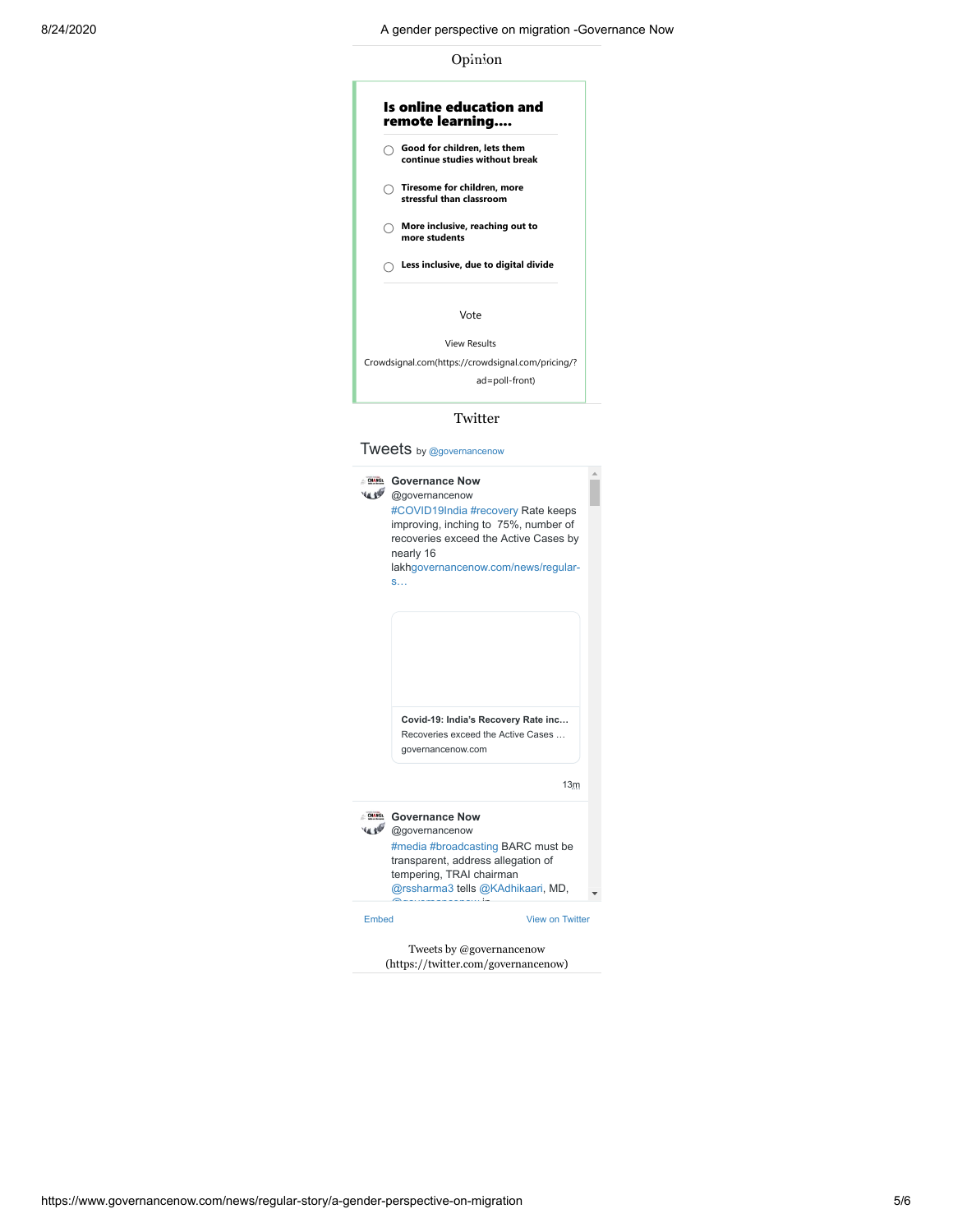Opinion

## Is online education and remote learning.... **Good for children, lets them continue studies without break Tiresome for children, more stressful than classroom More inclusive, reaching out to more students Less inclusive, due to digital divide** Vote [View Results](javascript:PD_vote10586139(1);) [Crowdsignal.com\(https://crowdsignal.com/pricing/?](https://crowdsignal.com/pricing/?ad=poll-front) ad=poll-front)

#### Twitter

Tweets by [@governancenow](https://twitter.com/governancenow)

|       | <b>Governance Now</b><br>@governancenow<br>#COVID19India #recovery Rate keeps<br>improving, inching to 75%, number of<br>recoveries exceed the Active Cases by<br>nearly 16<br>lakhgovernancenow.com/news/regular-<br>S |  |
|-------|-------------------------------------------------------------------------------------------------------------------------------------------------------------------------------------------------------------------------|--|
|       | Covid-19: India's Recovery Rate inc<br>Recoveries exceed the Active Cases<br>governancenow.com                                                                                                                          |  |
|       | 13m                                                                                                                                                                                                                     |  |
|       | Governance Now<br>@governancenow<br>#media #broadcasting BARC must be<br>transparent, address allegation of<br>tempering, TRAI chairman<br>@rssharma3 tells @KAdhikaari, MD,                                            |  |
| Embed | <b>View on Twitter</b>                                                                                                                                                                                                  |  |
|       | Tweets by @governancenow                                                                                                                                                                                                |  |

[\(https://twitter.com/governancenow\)](https://twitter.com/governancenow)